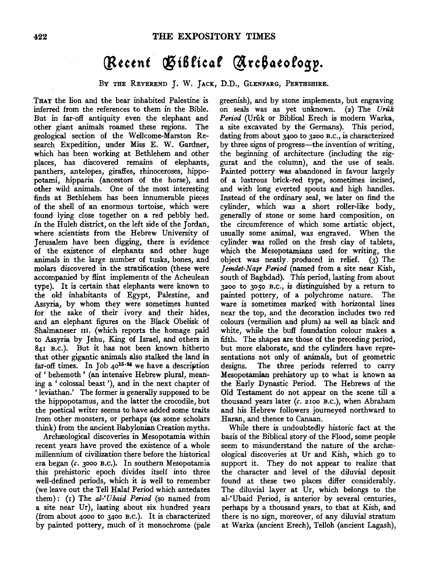## (Recent Giblical Archaeology.

BY THE REVEREND J. W. JACK, D.D., GLENFARG, PERTHSHIRE.

THAT the lion and the bear inhabited Palestine is inferred from the references to them in the Bible. But in far-off antiquity even the elephant and other giant animals roamed these regions. The geological section of the Wellcome-Marston Research Expedition, under Miss E. W. Gardner, which has been working at Bethlehem and other places, has discovered remains of elephants, panthers, antelopes, giraffes, rhinoceroses, hippopotami, hipparia (ancestors of the horse), and other wild animals. One of the most interesting finds at Bethlehem has been innumerable pieces of the shell of an enormous tortoise, which were found lying close together on a red pebbly bed. *In* the Huleh district, on the left side of the Jordan, where scientists from the Hebrew University of Jerusalem have been digging, there is evidence of the existence of elephants and other huge animals in the large number of tusks, bones, and molars discovered in the stratification (these were accompanied by flint implements of the Acheulean type). It is certain that elephants were known to the old inhabitants of Egypt, Palestine, and Assyria, by whom they were sometimes hunted for the sake of their ivory and their hides, and an elephant figures on the Black Obelisk of Shalmaneser III. (which reports the homage paid to Assyria by Jehu, King of Israel, and others in 841 B.C. ). But it has not been known hitherto that other gigantic animals also stalked the land in ar-off times. In Job  $40^{15-24}$  we have a description of ' behemoth ' (an intensive Hebrew plural, meaning a ' colossal beast '), and in the next chapter of ' leviathan.' The former is generally supposed to be the hippopotamus, and the latter the crocodile, but the poetical writer seems to have added some traits from other monsters, or perhaps (as some scholars think) from the ancient Babylonian Creation myths.

Archæological discoveries in Mesopotamia within recent years have proved the existence of a whole millennium of civilization there before the historical era began *(c.* 3ooo B.c.). In southern Mesopotamia this prehistoric epoch divides itself into three well-defined periods, which it is well to remember (we leave out the Tell Halaf Period which antedates them): (1) The *al-'Ubaid Period* (so named from a site near Ur), lasting about six hundred years (from about 4000 to 3400 B.c.). It is characterized by painted pottery, much of it monochrome (pale greenish), and by stone implements, but engraving on seals was as yet unknown. (2) The *Uruk*  Period (Urûk or Biblical Erech is modern Warka, a site excavated by the Germans). This period, dating from about 3400 to 3200 B.c., is characterized by three signs of progress-the invention of writing, the beginning of architecture (including the ziggurat and the column), and the use of seals. Painted pottery was abandoned in favour largely of a lustrous brick-red type, sometimes incised, and with long everted spouts and high handles. Instead of the ordinary seal, we later on find the cylinder, which was a short roller-like body, generally of stone or some hard composition, on the circumference of which some artistic object, usually some animal, was engraved. When the cylinder was rolled on the fresh clay of tablets, which the Mesopotamians used for writing, the object was neatly. produced in relief. (3) The *]emdet-Na1r Period* (named from a site near Kish, south of Baghdad). This period, lasting from about 3200 to 3050 B.c., is distinguished by a return to painted pottery, of a polychrome nature. The ware is sometimes marked with horizontal lines near the top, and the decoration includes two red colours (vermilion and plum) as well as black and white, while the buff foundation colour makes a fifth. The shapes are those of the preceding period, but more elaborate, and the cylinders have representations not only of animals, but of geometric designs. The three periods referred to carry Mesopotamian prehistory up to what is known as the Early Dynastic Period. The Hebrews of the Old Testament do not appear on the scene till a thousand years later *(c.* 2100 B.c.), when Abraham and his Hebrew followers journeyed northward to Haran, and thence to Canaan.

While there is undoubtedly historic fact at the basis of the Biblical story of the Flood, some people seem to misunderstand the nature of the archæological discoveries at Ur and Kish, which go to support it. They do not appear to realize that the character and level of the diluvial deposit found at these two places differ considerably. The diluvial layer at Ur, which belongs to the al-'Ubaid Period, is anterior by several centuries, perhaps by a thousand years, to that at Kish, and there is no sign, moreover, of any diluvial stratum at Warka (ancient Erech), Telloh (ancient Lagash),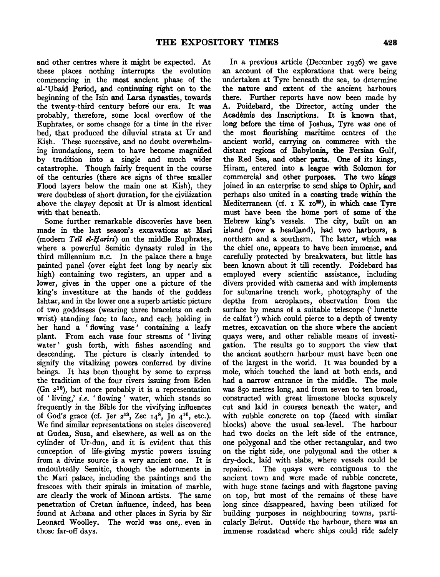and other centres where it might be expected. At these places nothing interrupts the evolution commencing in the most ancient phase of the al-'Ubaid Period, and continuing right on to the beginning of the Isin and Larsa dynasties, towards the twenty-third century before our era. It was probably, therefore, some local overflow of the Euphrates, or some change for a time in the river bed, that produced the diluvial strata at Ur and Kish. These successive, and no doubt overwhelming inundations, seem to have become magnified by tradition into a single and much wider catastrophe. Though fairly frequent in the course of the centuries (there are signs of three smaller Flood layers below the main one at Kish), they were doubtless of short duration, for the civilization above the clayey deposit at Ur is almost identical with that beneath.

Some further remarkable discoveries have been made in the last season's excavations at Mari (modem *TeU el-IJariri)* on the middle Euphrates, where a powerful Semitic dynasty ruled in the third millennium B.c. In the palace there a huge painted panel (over eight feet long by nearly six high) containing two registers, an upper and a lower, gives in the upper one a picture of the king's investiture at the hands of the goddess Ishtar, and in the lower one a superb artistic picture of two goddesses (wearing three bracelets on each wrist) standing face to face, and each holding in her hand a 'flowing vase' containing a leafy plant. From each vase four streams of ' living water' gush forth, with fishes ascending and descending. The picture is clearly intended to signify the vitalizing powers conferred by divine beings. It has been thought by some to express the tradition of the four rivers issuing from Eden (Gn  $2^{10}$ ), but more probably it is a representation of ' living,' *i.e.* ' flowing ' water, which stands so frequently in the Bible for the vivifying influences of God's grace (cf. Jer  $2^{13}$ , Zec  $14^8$ , Jn  $4^{10}$ , etc.). We find similar representations on steles discovered at Gudea, Susa, and elsewhere, as well as on the cylinder of Ur-dun, and it is evident that this conception of life-giving mystic powers issuing from a divine source is a very ancient one. It is undoubtedly Semitic, though the adornments in the Mari palace, including the paintings and the frescoes with their spirals in imitation of marble, are clearly the work of Minoan artists. The same penetration of Cretan influence, indeed, has been found at Acbana and other places in Syria by Sir Leonard Woolley. The world was one, even in those far-off days.

In a previous article (December 1936) we gave an account of the explorations that were being undertaken at Tyre beneath the sea, to determine the nature and extent of the ancient harbours there. Further reports have now been made by A. Poidebard, the Director, acting under the Academie des Inscriptions. It is known that, long before the time of Joshua, Tyre was one of the most flourishing maritime centres of the ancient world, carrying on commerce with the distant regions of Babylonia, the Persian Gulf, the Red Sea, and other parts. One of its kings, Hiram, entered into a league with Solomon for commercial and other purposes. The two kings joined in an enterprise to send ships to Ophir, and perhaps also united in a coasting trade within the Mediterranean (cf.  $I K I0^{22}$ ), in which case Tyre must have been the home port of some of' the Hebrew king's vessels. The city, built on an island (now a headland), had two harbours, a northern and a southern. The latter, which was the chief one, appears to have been immense, and carefully protected by breakwaters, but little has been known about it till recently. Poidebard has employed every scientific assistance, including divers provided with cameras and with implements for submarine trench work, photography of the depths from aeroplanes, observation from the surface by means of a suitable telescope (' lunette de calfat ') which could pierce to a depth of twenty metres, excavation on the shore where the ancient quays were, and other reliable means of investigation. The results go to support the view that the ancient southern harbour must have been one of the largest in the world. It was bounded by a mole, which touched the land at both ends, and had a narrow entrance in the middle. The mole was 85o metres long, and from seven to ten broad, constructed with great limestone blocks squarely cut and laid in courses beneath the water, and with rubble concrete on top (faced with similar blocks) above the usual sea-level. The harbour had two docks on the left side of the entrance, one polygonal and the other rectangular, and two on the right side, one polygonal and the other a dry-dock, laid with slabs, where vessels could be repaired. The quays were contiguous to the ancient town and were made of rubble concrete, with huge stone facings and with flagstone paving on top, but most of the remains of these have long since disappeared, having been utilized for building purposes in neighbouring towns, particularly Beirut. Outside the harbour, there was an immense roadstead where ships could ride safely